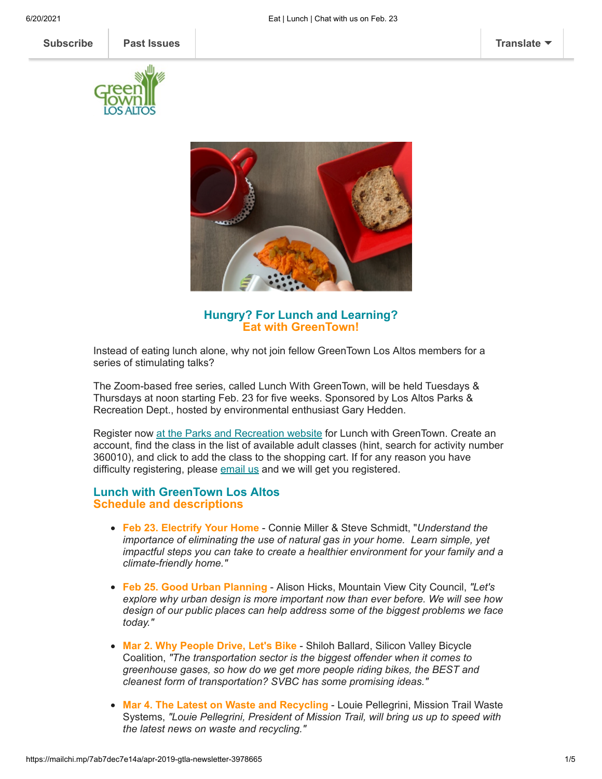



**Hungry? For Lunch and Learning? Eat with GreenTown!**

Instead of eating lunch alone, why not join fellow GreenTown Los Altos members for a series of stimulating talks?

The Zoom-based free series, called Lunch With GreenTown, will be held Tuesdays & Thursdays at noon starting Feb. 23 for five weeks. Sponsored by Los Altos Parks & Recreation Dept., hosted by environmental enthusiast Gary Hedden.

Register now at the [Parks and Recreation website](https://webtrac.losaltosca.gov/wbwsc/webtrac.wsc/wbsplash.html) for Lunch with GreenTown. Create an account, find the class in the list of available adult classes (hint, search for activity number 360010), and click to add the class to the shopping cart. If for any reason you have difficulty registering, please [email us](mailto:info@greentownlosaltos.org?subject=I%27d%20like%20to%20join%20the%20Zoom%20Lunch%20With%20GreenTown) and we will get you registered.

## **Lunch with GreenTown Los Altos Schedule and descriptions**

- **Feb 23. Electrify Your Home** Connie Miller & Steve Schmidt, "*Understand the importance of eliminating the use of natural gas in your home. Learn simple, yet impactful steps you can take to create a healthier environment for your family and a climate-friendly home."*
- **Feb 25. Good Urban Planning** Alison Hicks, Mountain View City Council, *"Let's explore why urban design is more important now than ever before. We will see how design of our public places can help address some of the biggest problems we face today."*
- **Mar 2. Why People Drive, Let's Bike** Shiloh Ballard, Silicon Valley Bicycle Coalition, *"The transportation sector is the biggest offender when it comes to greenhouse gases, so how do we get more people riding bikes, the BEST and cleanest form of transportation? SVBC has some promising ideas."*
- **Mar 4. The Latest on Waste and Recycling Louie Pellegrini, Mission Trail Waste** Systems, *"Louie Pellegrini, President of Mission Trail, will bring us up to speed with the latest news on waste and recycling."*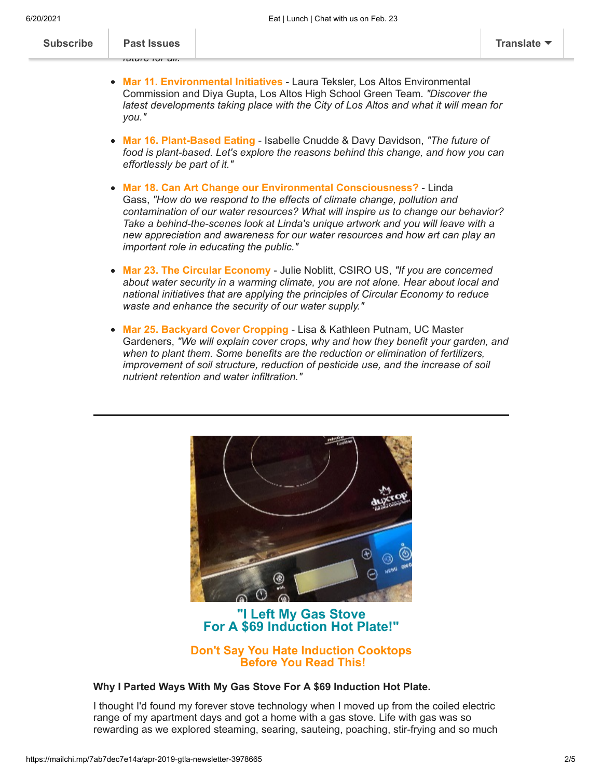| <b>Subscribe</b> | <b>Past Issues</b> | <b>Translate</b> |
|------------------|--------------------|------------------|
|                  | IULUIG IUIGIII.    |                  |

- **Mar 11. Environmental Initiatives** Laura Teksler, Los Altos Environmental Commission and Diya Gupta, Los Altos High School Green Team. *"Discover the latest developments taking place with the City of Los Altos and what it will mean for you."*
- **Mar 16. Plant-Based Eating** Isabelle Cnudde & Davy Davidson, *"The future of food is plant-based. Let's explore the reasons behind this change, and how you can effortlessly be part of it."*
- **Mar 18. Can Art Change our Environmental Consciousness?** Linda Gass, *"How do we respond to the effects of climate change, pollution and contamination of our water resources? What will inspire us to change our behavior? Take a behind-the-scenes look at Linda's unique artwork and you will leave with a new appreciation and awareness for our water resources and how art can play an important role in educating the public."*
- **Mar 23. The Circular Economy** Julie Noblitt, CSIRO US, *"If you are concerned about water security in a warming climate, you are not alone. Hear about local and national initiatives that are applying the principles of Circular Economy to reduce waste and enhance the security of our water supply."*
- **Mar 25. Backyard Cover Cropping** Lisa & Kathleen Putnam, UC Master Gardeners, *"We will explain cover crops, why and how they benefit your garden, and when to plant them. Some benefits are the reduction or elimination of fertilizers, improvement of soil structure, reduction of pesticide use, and the increase of soil nutrient retention and water infiltration."*



**"I Left My Gas Stove For A \$69 Induction Hot Plate!"**

## **Don't Say You Hate Induction Cooktops Before You Read This!**

## **Why I Parted Ways With My Gas Stove For A \$69 Induction Hot Plate.**

I thought I'd found my forever stove technology when I moved up from the coiled electric range of my apartment days and got a home with a gas stove. Life with gas was so rewarding as we explored steaming, searing, sauteing, poaching, stir-frying and so much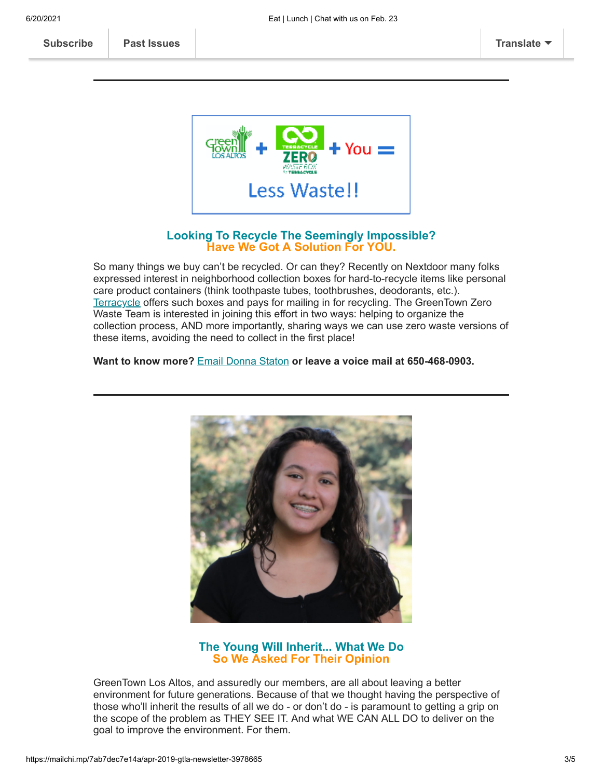**Was to my needs and that it brought me so much joy. Read that it brought me so much joy. Read the [article here](https://www.greentownlosaltos.org/post/i-parted-ways-with-my-gas-stove-for-a-69-induction-hot-plate).** 



## **Looking To Recycle The Seemingly Impossible? Have We Got A Solution For YOU.**

So many things we buy can't be recycled. Or can they? Recently on Nextdoor many folks expressed interest in neighborhood collection boxes for hard-to-recycle items like personal care product containers (think toothpaste tubes, toothbrushes, deodorants, etc.). [Terracycle](https://www.terracycle.com/en-US/brigades) offers such boxes and pays for mailing in for recycling. The GreenTown Zero Waste Team is interested in joining this effort in two ways: helping to organize the collection process, AND more importantly, sharing ways we can use zero waste versions of these items, avoiding the need to collect in the first place!

**Want to know more?** [Email Donna Staton](mailto:donna@greentownlosaltos.org?subject=I%27m%20interested%20in%20ways%20to%20recycle%20more) **or leave a voice mail at 650-468-0903.**



# **The Young Will Inherit... What We Do So We Asked For Their Opinion**

GreenTown Los Altos, and assuredly our members, are all about leaving a better environment for future generations. Because of that we thought having the perspective of those who'll inherit the results of all we do - or don't do - is paramount to getting a grip on the scope of the problem as THEY SEE IT. And what WE CAN ALL DO to deliver on the goal to improve the environment. For them.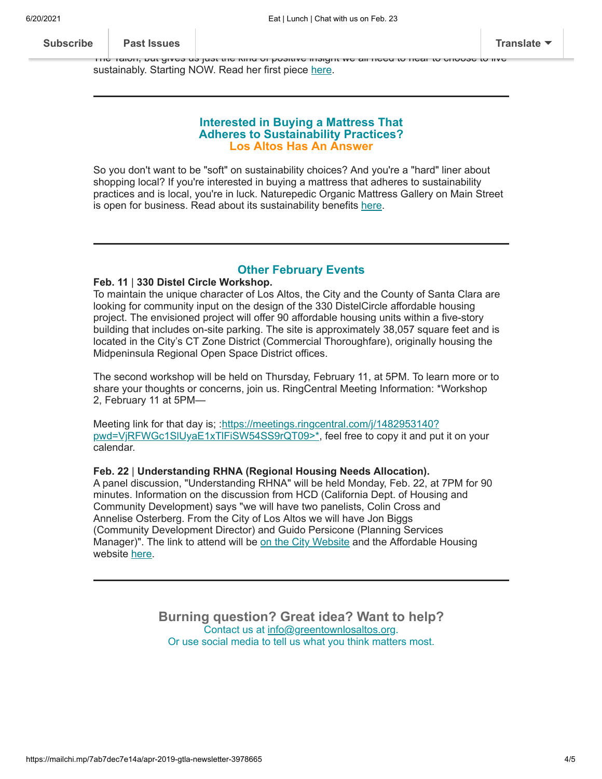series. She's not only an adept writer who only an adept writer who has newspaper, who has newspaper, who has n **[Subscribe](http://eepurl.com/cm9q9b) Past Issues [Translate](javascript:;)**

 $\overline{\text{Tric}}$  Talon, but gives us just the kind or positive insight we all need to hear to choose to live sustainably. Starting NOW. Read her first piece [here](https://www.greentownlosaltos.org/post/the-un-climate-change-conference-a-local-s-point-of-view).

### **Interested in Buying a Mattress That Adheres to Sustainability Practices? Los Altos Has An Answer**

So you don't want to be "soft" on sustainability choices? And you're a "hard" liner about shopping local? If you're interested in buying a mattress that adheres to sustainability practices and is local, you're in luck. Naturepedic Organic Mattress Gallery on Main Street is open for business. Read about its sustainability benefits [here](https://www.greentownlosaltos.org/post/sustainability-business-spotlight-naturepedic-organic-mattresses).

# **Other February Events**

### **Feb. 11** | **330 Distel Circle Workshop.**

To maintain the unique character of Los Altos, the City and the County of Santa Clara are looking for community input on the design of the 330 DistelCircle affordable housing project. The envisioned project will offer 90 affordable housing units within a five-story building that includes on-site parking. The site is approximately 38,057 square feet and is located in the City's CT Zone District (Commercial Thoroughfare), originally housing the Midpeninsula Regional Open Space District offices.

The second workshop will be held on Thursday, February 11, at 5PM. To learn more or to share your thoughts or concerns, join us. RingCentral Meeting Information: \*Workshop 2, February 11 at 5PM—

Meeting link for that day is; :https://meetings.ringcentral.com/j/1482953140? pwd=VjRFWGc1SIUyaE1xTlFiSW54SS9rQT09>\*, feel free to copy it and put it on your calendar.

### **Feb. 22** | **Understanding RHNA (Regional Housing Needs Allocation).**

A panel discussion, "Understanding RHNA" will be held Monday, Feb. 22, at 7PM for 90 minutes. Information on the discussion from HCD (California Dept. of Housing and Community Development) says "we will have two panelists, Colin Cross and Annelise Osterberg. From the City of Los Altos we will have Jon Biggs (Community Development Director) and Guido Persicone (Planning Services Manager)". The link to attend will be [on the City Website](https://www.losaltosca.gov/) and the Affordable Housing website [here](https://losaltosaffordablehousing.org/).

> **Burning question? Great idea? Want to help?** Contact us at [info@greentownlosaltos.org](mailto:info@greentownlosaltos.org?subject=Ask%20GreenTown%3B%20Tell%20GreenTown). Or use social media to tell us what you think matters most.